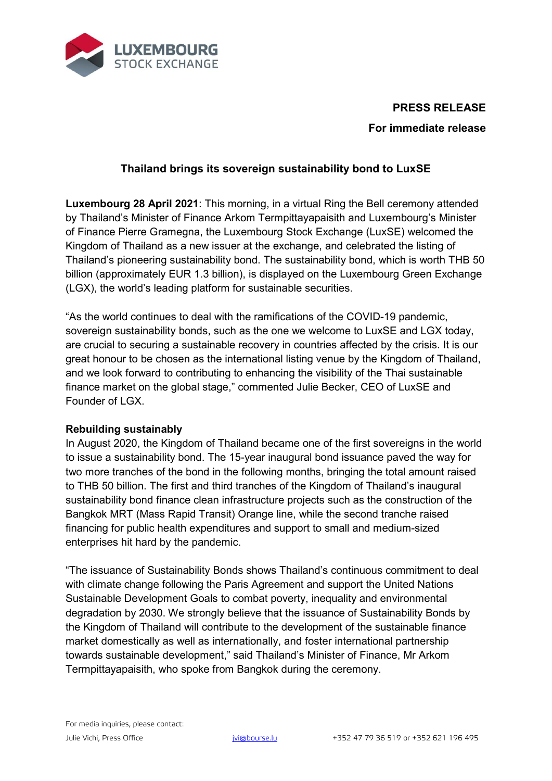

# **PRESS RELEASE For immediate release**

## **Thailand brings its sovereign sustainability bond to LuxSE**

**Luxembourg 28 April 2021**: This morning, in a virtual Ring the Bell ceremony attended by Thailand's Minister of Finance Arkom Termpittayapaisith and Luxembourg's Minister of Finance Pierre Gramegna, the Luxembourg Stock Exchange (LuxSE) welcomed the Kingdom of Thailand as a new issuer at the exchange, and celebrated the listing of Thailand's pioneering sustainability bond. The sustainability bond, which is worth THB 50 billion (approximately EUR 1.3 billion), is displayed on the Luxembourg Green Exchange (LGX), the world's leading platform for sustainable securities.

"As the world continues to deal with the ramifications of the COVID-19 pandemic, sovereign sustainability bonds, such as the one we welcome to LuxSE and LGX today, are crucial to securing a sustainable recovery in countries affected by the crisis. It is our great honour to be chosen as the international listing venue by the Kingdom of Thailand, and we look forward to contributing to enhancing the visibility of the Thai sustainable finance market on the global stage," commented Julie Becker, CEO of LuxSE and Founder of LGX.

#### **Rebuilding sustainably**

In August 2020, the Kingdom of Thailand became one of the first sovereigns in the world to issue a sustainability bond. The 15-year inaugural bond issuance paved the way for two more tranches of the bond in the following months, bringing the total amount raised to THB 50 billion. The first and third tranches of the Kingdom of Thailand's inaugural sustainability bond finance clean infrastructure projects such as the construction of the Bangkok MRT (Mass Rapid Transit) Orange line, while the second tranche raised financing for public health expenditures and support to small and medium-sized enterprises hit hard by the pandemic.

"The issuance of Sustainability Bonds shows Thailand's continuous commitment to deal with climate change following the Paris Agreement and support the United Nations Sustainable Development Goals to combat poverty, inequality and environmental degradation by 2030. We strongly believe that the issuance of Sustainability Bonds by the Kingdom of Thailand will contribute to the development of the sustainable finance market domestically as well as internationally, and foster international partnership towards sustainable development," said Thailand's Minister of Finance, Mr Arkom Termpittayapaisith, who spoke from Bangkok during the ceremony.